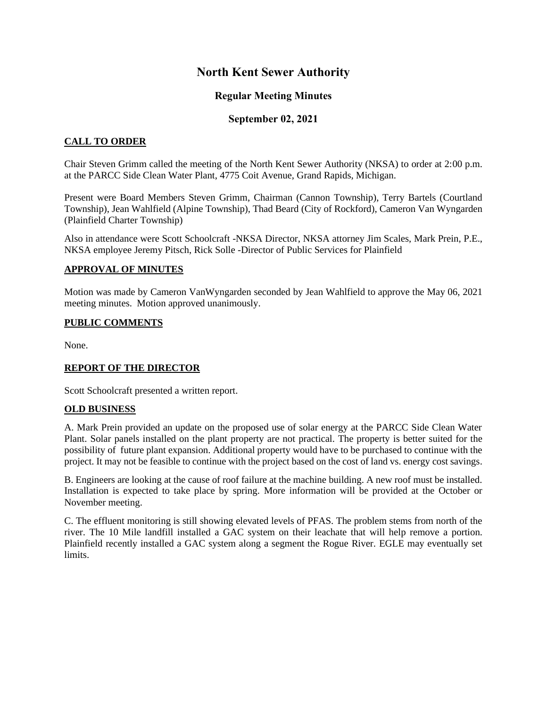# **North Kent Sewer Authority**

# **Regular Meeting Minutes**

# **September 02, 2021**

### **CALL TO ORDER**

Chair Steven Grimm called the meeting of the North Kent Sewer Authority (NKSA) to order at 2:00 p.m. at the PARCC Side Clean Water Plant, 4775 Coit Avenue, Grand Rapids, Michigan.

Present were Board Members Steven Grimm, Chairman (Cannon Township), Terry Bartels (Courtland Township), Jean Wahlfield (Alpine Township), Thad Beard (City of Rockford), Cameron Van Wyngarden (Plainfield Charter Township)

Also in attendance were Scott Schoolcraft -NKSA Director, NKSA attorney Jim Scales, Mark Prein, P.E., NKSA employee Jeremy Pitsch, Rick Solle -Director of Public Services for Plainfield

### **APPROVAL OF MINUTES**

Motion was made by Cameron VanWyngarden seconded by Jean Wahlfield to approve the May 06, 2021 meeting minutes. Motion approved unanimously.

#### **PUBLIC COMMENTS**

None.

#### **REPORT OF THE DIRECTOR**

Scott Schoolcraft presented a written report.

#### **OLD BUSINESS**

A. Mark Prein provided an update on the proposed use of solar energy at the PARCC Side Clean Water Plant. Solar panels installed on the plant property are not practical. The property is better suited for the possibility of future plant expansion. Additional property would have to be purchased to continue with the project. It may not be feasible to continue with the project based on the cost of land vs. energy cost savings.

B. Engineers are looking at the cause of roof failure at the machine building. A new roof must be installed. Installation is expected to take place by spring. More information will be provided at the October or November meeting.

C. The effluent monitoring is still showing elevated levels of PFAS. The problem stems from north of the river. The 10 Mile landfill installed a GAC system on their leachate that will help remove a portion. Plainfield recently installed a GAC system along a segment the Rogue River. EGLE may eventually set limits.